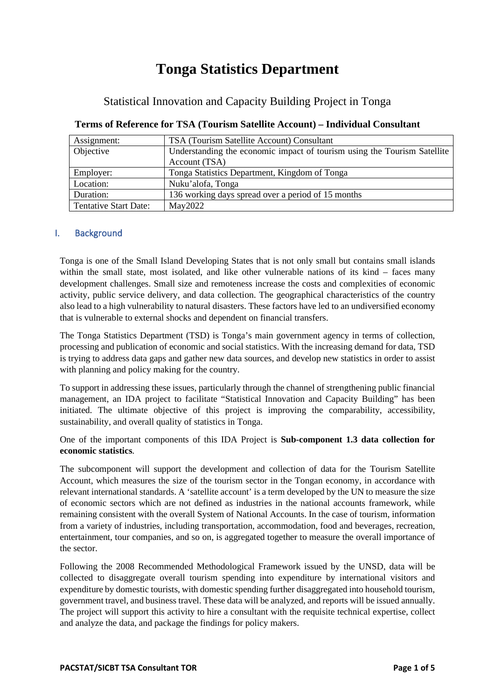# **Tonga Statistics Department**

# Statistical Innovation and Capacity Building Project in Tonga

| Assignment:                  | TSA (Tourism Satellite Account) Consultant                               |
|------------------------------|--------------------------------------------------------------------------|
| Objective                    | Understanding the economic impact of tourism using the Tourism Satellite |
|                              | Account (TSA)                                                            |
| Employer:                    | Tonga Statistics Department, Kingdom of Tonga                            |
| Location:                    | Nuku'alofa, Tonga                                                        |
| Duration:                    | 136 working days spread over a period of 15 months                       |
| <b>Tentative Start Date:</b> | May2022                                                                  |

# **Terms of Reference for TSA (Tourism Satellite Account) – Individual Consultant**

# I. Background

Tonga is one of the Small Island Developing States that is not only small but contains small islands within the small state, most isolated, and like other vulnerable nations of its kind – faces many development challenges. Small size and remoteness increase the costs and complexities of economic activity, public service delivery, and data collection. The geographical characteristics of the country also lead to a high vulnerability to natural disasters. These factors have led to an undiversified economy that is vulnerable to external shocks and dependent on financial transfers.

The Tonga Statistics Department (TSD) is Tonga's main government agency in terms of collection, processing and publication of economic and social statistics. With the increasing demand for data, TSD is trying to address data gaps and gather new data sources, and develop new statistics in order to assist with planning and policy making for the country.

To support in addressing these issues, particularly through the channel of strengthening public financial management, an IDA project to facilitate "Statistical Innovation and Capacity Building" has been initiated. The ultimate objective of this project is improving the comparability, accessibility, sustainability, and overall quality of statistics in Tonga.

One of the important components of this IDA Project is **Sub-component 1.3 data collection for economic statistics**.

The subcomponent will support the development and collection of data for the Tourism Satellite Account, which measures the size of the tourism sector in the Tongan economy, in accordance with relevant international standards. A 'satellite account' is a term developed by the UN to measure the size of economic sectors which are not defined as industries in the national accounts framework, while remaining consistent with the overall System of National Accounts. In the case of tourism, information from a variety of industries, including transportation, accommodation, food and beverages, recreation, entertainment, tour companies, and so on, is aggregated together to measure the overall importance of the sector.

Following the 2008 Recommended Methodological Framework issued by the UNSD, data will be collected to disaggregate overall tourism spending into expenditure by international visitors and expenditure by domestic tourists, with domestic spending further disaggregated into household tourism, government travel, and business travel. These data will be analyzed, and reports will be issued annually. The project will support this activity to hire a consultant with the requisite technical expertise, collect and analyze the data, and package the findings for policy makers.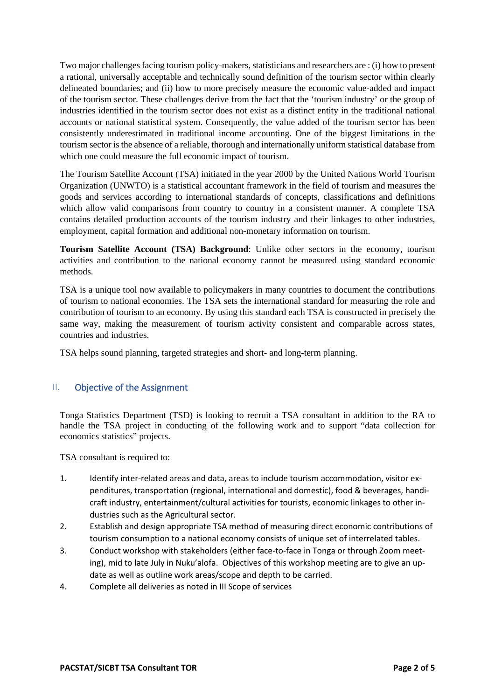Two major challenges facing tourism policy-makers, statisticians and researchers are : (i) how to present a rational, universally acceptable and technically sound definition of the tourism sector within clearly delineated boundaries; and (ii) how to more precisely measure the economic value-added and impact of the tourism sector. These challenges derive from the fact that the 'tourism industry' or the group of industries identified in the tourism sector does not exist as a distinct entity in the traditional national accounts or national statistical system. Consequently, the value added of the tourism sector has been consistently underestimated in traditional income accounting. One of the biggest limitations in the tourism sector is the absence of a reliable, thorough and internationally uniform statistical database from which one could measure the full economic impact of tourism.

The Tourism Satellite Account (TSA) initiated in the year 2000 by the United Nations World Tourism Organization (UNWTO) is a statistical accountant framework in the field of tourism and measures the goods and services according to international standards of concepts, classifications and definitions which allow valid comparisons from country to country in a consistent manner. A complete TSA contains detailed production accounts of the tourism industry and their linkages to other industries, employment, capital formation and additional non-monetary information on tourism.

**Tourism Satellite Account (TSA) Background**: Unlike other sectors in the economy, tourism activities and contribution to the national economy cannot be measured using standard economic methods.

TSA is a unique tool now available to policymakers in many countries to document the contributions of tourism to national economies. The TSA sets the international standard for measuring the role and contribution of tourism to an economy. By using this standard each TSA is constructed in precisely the same way, making the measurement of tourism activity consistent and comparable across states, countries and industries.

TSA helps sound planning, targeted strategies and short- and long-term planning.

# II. Objective of the Assignment

Tonga Statistics Department (TSD) is looking to recruit a TSA consultant in addition to the RA to handle the TSA project in conducting of the following work and to support "data collection for economics statistics" projects.

TSA consultant is required to:

- 1. Identify inter-related areas and data, areas to include tourism accommodation, visitor expenditures, transportation (regional, international and domestic), food & beverages, handicraft industry, entertainment/cultural activities for tourists, economic linkages to other industries such as the Agricultural sector.
- 2. Establish and design appropriate TSA method of measuring direct economic contributions of tourism consumption to a national economy consists of unique set of interrelated tables.
- 3. Conduct workshop with stakeholders (either face-to-face in Tonga or through Zoom meeting), mid to late July in Nuku'alofa. Objectives of this workshop meeting are to give an update as well as outline work areas/scope and depth to be carried.
- 4. Complete all deliveries as noted in III Scope of services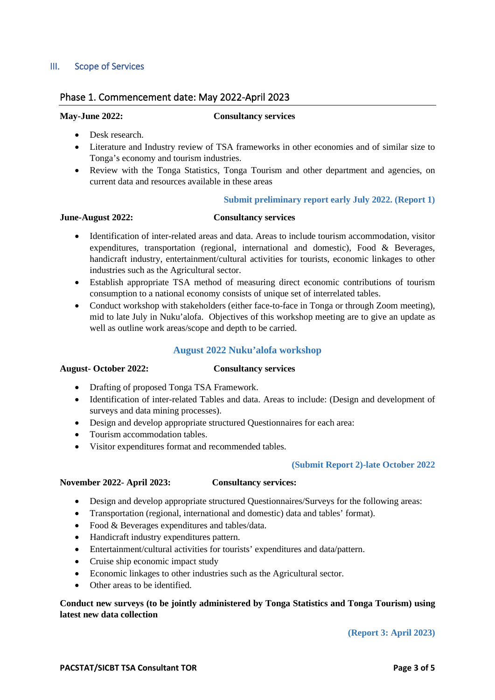# III. Scope of Services

# Phase 1. Commencement date: May 2022-April 2023

### **May-June 2022: Consultancy services**

- Desk research.
- Literature and Industry review of TSA frameworks in other economies and of similar size to Tonga's economy and tourism industries.
- Review with the Tonga Statistics, Tonga Tourism and other department and agencies, on current data and resources available in these areas

### **Submit preliminary report early July 2022. (Report 1)**

# **June-August 2022: Consultancy services**

- Identification of inter-related areas and data. Areas to include tourism accommodation, visitor expenditures, transportation (regional, international and domestic), Food & Beverages, handicraft industry, entertainment/cultural activities for tourists, economic linkages to other industries such as the Agricultural sector.
- Establish appropriate TSA method of measuring direct economic contributions of tourism consumption to a national economy consists of unique set of interrelated tables.
- Conduct workshop with stakeholders (either face-to-face in Tonga or through Zoom meeting), mid to late July in Nuku'alofa. Objectives of this workshop meeting are to give an update as well as outline work areas/scope and depth to be carried.

### **August 2022 Nuku'alofa workshop**

### **August- October 2022: Consultancy services**

- Drafting of proposed Tonga TSA Framework.
- Identification of inter-related Tables and data. Areas to include: (Design and development of surveys and data mining processes).
- Design and develop appropriate structured Questionnaires for each area:
- Tourism accommodation tables.
- Visitor expenditures format and recommended tables.

### **(Submit Report 2)-late October 2022**

### **November 2022- April 2023: Consultancy services:**

- Design and develop appropriate structured Questionnaires/Surveys for the following areas:
- Transportation (regional, international and domestic) data and tables' format).
- Food & Beverages expenditures and tables/data.
- Handicraft industry expenditures pattern.
- Entertainment/cultural activities for tourists' expenditures and data/pattern.
- Cruise ship economic impact study
- Economic linkages to other industries such as the Agricultural sector.
- Other areas to be identified.

**Conduct new surveys (to be jointly administered by Tonga Statistics and Tonga Tourism) using latest new data collection**

### **(Report 3: April 2023)**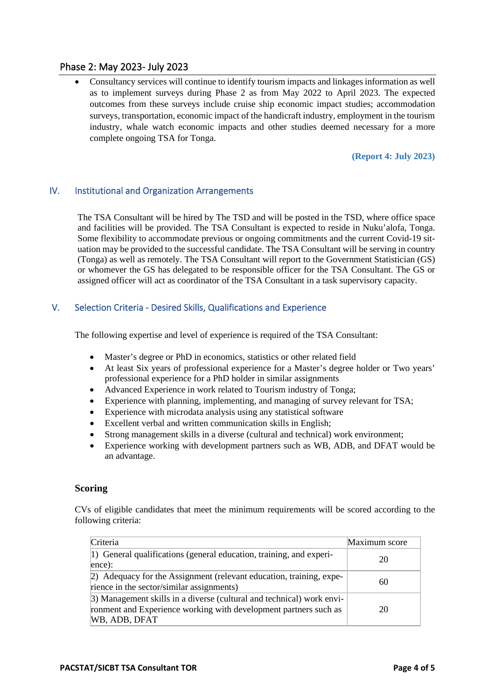# Phase 2: May 2023- July 2023

• Consultancy services will continue to identify tourism impacts and linkages information as well as to implement surveys during Phase 2 as from May 2022 to April 2023. The expected outcomes from these surveys include cruise ship economic impact studies; accommodation surveys, transportation, economic impact of the handicraft industry, employment in the tourism industry, whale watch economic impacts and other studies deemed necessary for a more complete ongoing TSA for Tonga.

### **(Report 4: July 2023)**

# IV. Institutional and Organization Arrangements

The TSA Consultant will be hired by The TSD and will be posted in the TSD, where office space and facilities will be provided. The TSA Consultant is expected to reside in Nuku'alofa, Tonga. Some flexibility to accommodate previous or ongoing commitments and the current Covid-19 situation may be provided to the successful candidate. The TSA Consultant will be serving in country (Tonga) as well as remotely. The TSA Consultant will report to the Government Statistician (GS) or whomever the GS has delegated to be responsible officer for the TSA Consultant. The GS or assigned officer will act as coordinator of the TSA Consultant in a task supervisory capacity.

### V. Selection Criteria - Desired Skills, Qualifications and Experience

The following expertise and level of experience is required of the TSA Consultant:

- Master's degree or PhD in economics, statistics or other related field
- At least Six years of professional experience for a Master's degree holder or Two years' professional experience for a PhD holder in similar assignments
- Advanced Experience in work related to Tourism industry of Tonga;
- Experience with planning, implementing, and managing of survey relevant for TSA;
- Experience with microdata analysis using any statistical software
- Excellent verbal and written communication skills in English;
- Strong management skills in a diverse (cultural and technical) work environment;
- Experience working with development partners such as WB, ADB, and DFAT would be an advantage.

### **Scoring**

CVs of eligible candidates that meet the minimum requirements will be scored according to the following criteria:

| Criteria                                                                                                                                                   | Maximum score |
|------------------------------------------------------------------------------------------------------------------------------------------------------------|---------------|
| 1) General qualifications (general education, training, and experi-<br>ence):                                                                              | 20            |
| 2) Adequacy for the Assignment (relevant education, training, expe-<br>rience in the sector/similar assignments)                                           | 60            |
| 3) Management skills in a diverse (cultural and technical) work envi-<br>ronment and Experience working with development partners such as<br>WB, ADB, DFAT | 20            |